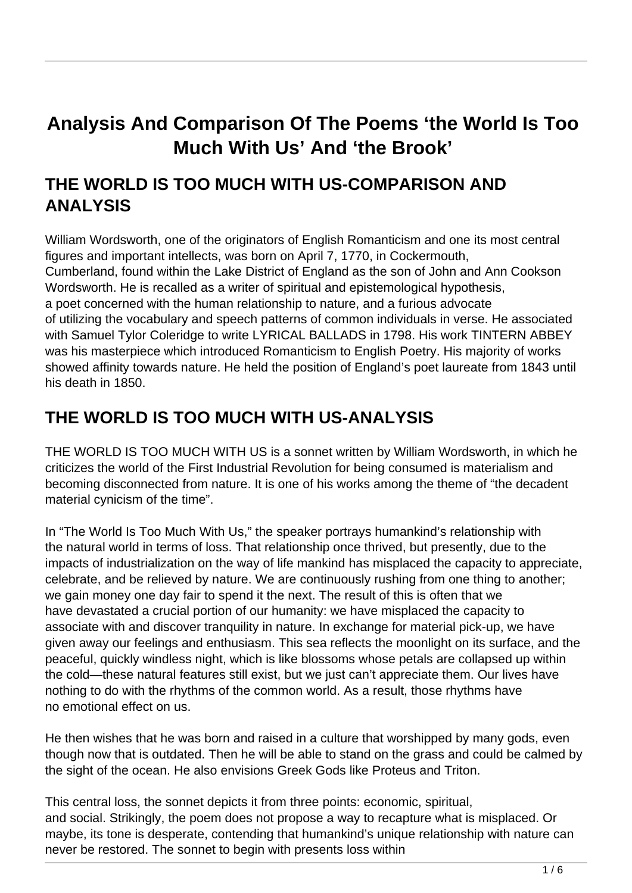# **Analysis And Comparison Of The Poems 'the World Is Too Much With Us' And 'the Brook'**

# **THE WORLD IS TOO MUCH WITH US-COMPARISON AND ANALYSIS**

William Wordsworth, one of the originators of English Romanticism and one its most central figures and important intellects, was born on April 7, 1770, in Cockermouth, Cumberland, found within the Lake District of England as the son of John and Ann Cookson Wordsworth. He is recalled as a writer of spiritual and epistemological hypothesis, a poet concerned with the human relationship to nature, and a furious advocate of utilizing the vocabulary and speech patterns of common individuals in verse. He associated with Samuel Tylor Coleridge to write LYRICAL BALLADS in 1798. His work TINTERN ABBEY was his masterpiece which introduced Romanticism to English Poetry. His majority of works showed affinity towards nature. He held the position of England's poet laureate from 1843 until his death in 1850.

# **THE WORLD IS TOO MUCH WITH US-ANALYSIS**

THE WORLD IS TOO MUCH WITH US is a sonnet written by William Wordsworth, in which he criticizes the world of the First Industrial Revolution for being consumed is materialism and becoming disconnected from nature. It is one of his works among the theme of "the decadent material cynicism of the time".

In "The World Is Too Much With Us," the speaker portrays humankind's relationship with the natural world in terms of loss. That relationship once thrived, but presently, due to the impacts of industrialization on the way of life mankind has misplaced the capacity to appreciate, celebrate, and be relieved by nature. We are continuously rushing from one thing to another; we gain money one day fair to spend it the next. The result of this is often that we have devastated a crucial portion of our humanity: we have misplaced the capacity to associate with and discover tranquility in nature. In exchange for material pick-up, we have given away our feelings and enthusiasm. This sea reflects the moonlight on its surface, and the peaceful, quickly windless night, which is like blossoms whose petals are collapsed up within the cold—these natural features still exist, but we just can't appreciate them. Our lives have nothing to do with the rhythms of the common world. As a result, those rhythms have no emotional effect on us.

He then wishes that he was born and raised in a culture that worshipped by many gods, even though now that is outdated. Then he will be able to stand on the grass and could be calmed by the sight of the ocean. He also envisions Greek Gods like Proteus and Triton.

This central loss, the sonnet depicts it from three points: economic, spiritual, and social. Strikingly, the poem does not propose a way to recapture what is misplaced. Or maybe, its tone is desperate, contending that humankind's unique relationship with nature can never be restored. The sonnet to begin with presents loss within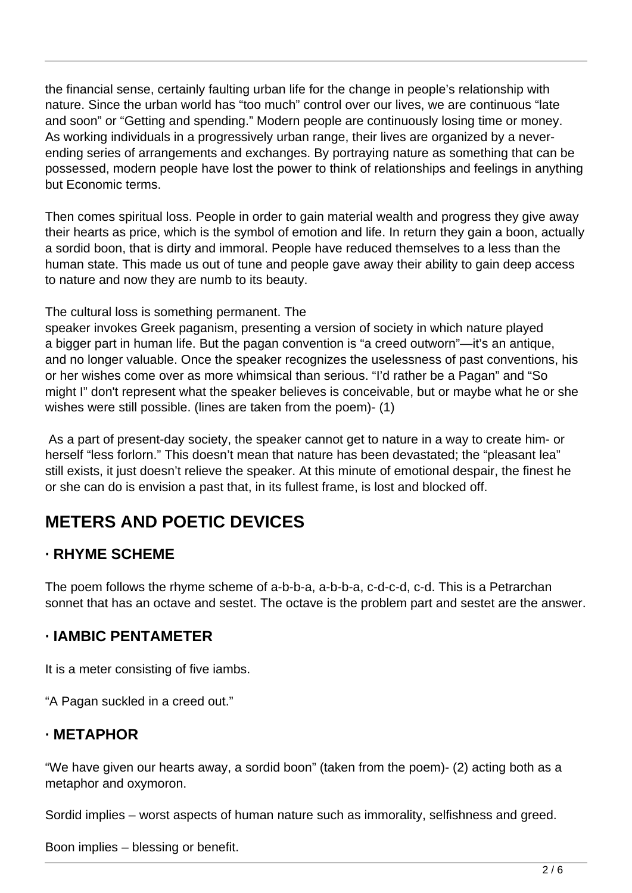the financial sense, certainly faulting urban life for the change in people's relationship with nature. Since the urban world has "too much" control over our lives, we are continuous "late and soon" or "Getting and spending." Modern people are continuously losing time or money. As working individuals in a progressively urban range, their lives are organized by a neverending series of arrangements and exchanges. By portraying nature as something that can be possessed, modern people have lost the power to think of relationships and feelings in anything but Economic terms.

Then comes spiritual loss. People in order to gain material wealth and progress they give away their hearts as price, which is the symbol of emotion and life. In return they gain a boon, actually a sordid boon, that is dirty and immoral. People have reduced themselves to a less than the human state. This made us out of tune and people gave away their ability to gain deep access to nature and now they are numb to its beauty.

The cultural loss is something permanent. The

speaker invokes Greek paganism, presenting a version of society in which nature played a bigger part in human life. But the pagan convention is "a creed outworn"—it's an antique, and no longer valuable. Once the speaker recognizes the uselessness of past conventions, his or her wishes come over as more whimsical than serious. "I'd rather be a Pagan" and "So might I" don't represent what the speaker believes is conceivable, but or maybe what he or she wishes were still possible. (lines are taken from the poem)- (1)

 As a part of present-day society, the speaker cannot get to nature in a way to create him- or herself "less forlorn." This doesn't mean that nature has been devastated; the "pleasant lea" still exists, it just doesn't relieve the speaker. At this minute of emotional despair, the finest he or she can do is envision a past that, in its fullest frame, is lost and blocked off.

# **METERS AND POETIC DEVICES**

### **· RHYME SCHEME**

The poem follows the rhyme scheme of a-b-b-a, a-b-b-a, c-d-c-d, c-d. This is a Petrarchan sonnet that has an octave and sestet. The octave is the problem part and sestet are the answer.

### **· IAMBIC PENTAMETER**

It is a meter consisting of five iambs.

"A Pagan suckled in a creed out."

### **· METAPHOR**

"We have given our hearts away, a sordid boon" (taken from the poem)- (2) acting both as a metaphor and oxymoron.

Sordid implies – worst aspects of human nature such as immorality, selfishness and greed.

Boon implies – blessing or benefit.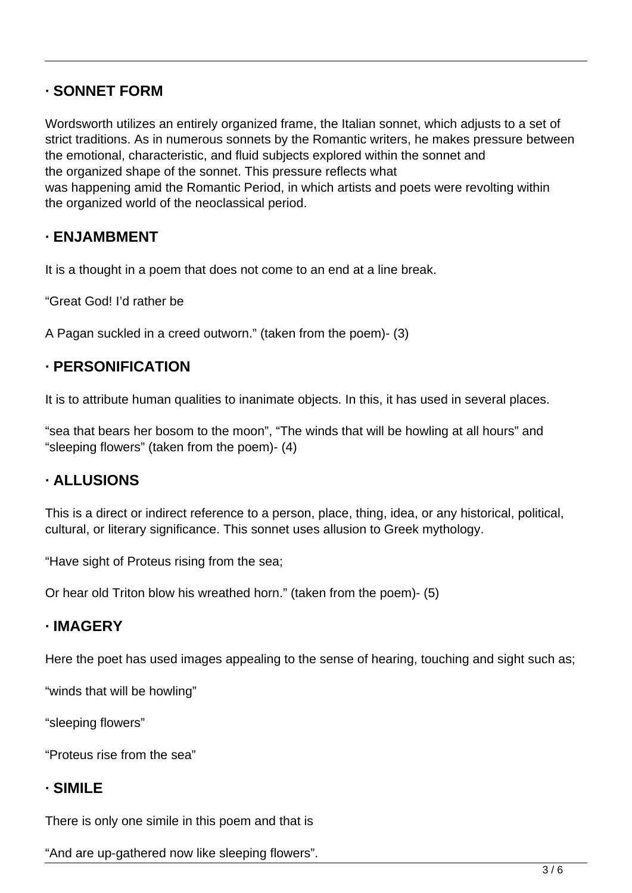### **· SONNET FORM**

Wordsworth utilizes an entirely organized frame, the Italian sonnet, which adjusts to a set of strict traditions. As in numerous sonnets by the Romantic writers, he makes pressure between the emotional, characteristic, and fluid subjects explored within the sonnet and the organized shape of the sonnet. This pressure reflects what was happening amid the Romantic Period, in which artists and poets were revolting within the organized world of the neoclassical period.

### **· ENJAMBMENT**

It is a thought in a poem that does not come to an end at a line break.

"Great God! I'd rather be

A Pagan suckled in a creed outworn." (taken from the poem)- (3)

### **· PERSONIFICATION**

It is to attribute human qualities to inanimate objects. In this, it has used in several places.

"sea that bears her bosom to the moon", "The winds that will be howling at all hours" and "sleeping flowers" (taken from the poem)- (4)

### **· ALLUSIONS**

This is a direct or indirect reference to a person, place, thing, idea, or any historical, political, cultural, or literary significance. This sonnet uses allusion to Greek mythology.

"Have sight of Proteus rising from the sea;

Or hear old Triton blow his wreathed horn." (taken from the poem)- (5)

### **· IMAGERY**

Here the poet has used images appealing to the sense of hearing, touching and sight such as;

"winds that will be howling"

"sleeping flowers"

"Proteus rise from the sea"

#### **· SIMILE**

There is only one simile in this poem and that is

"And are up-gathered now like sleeping flowers".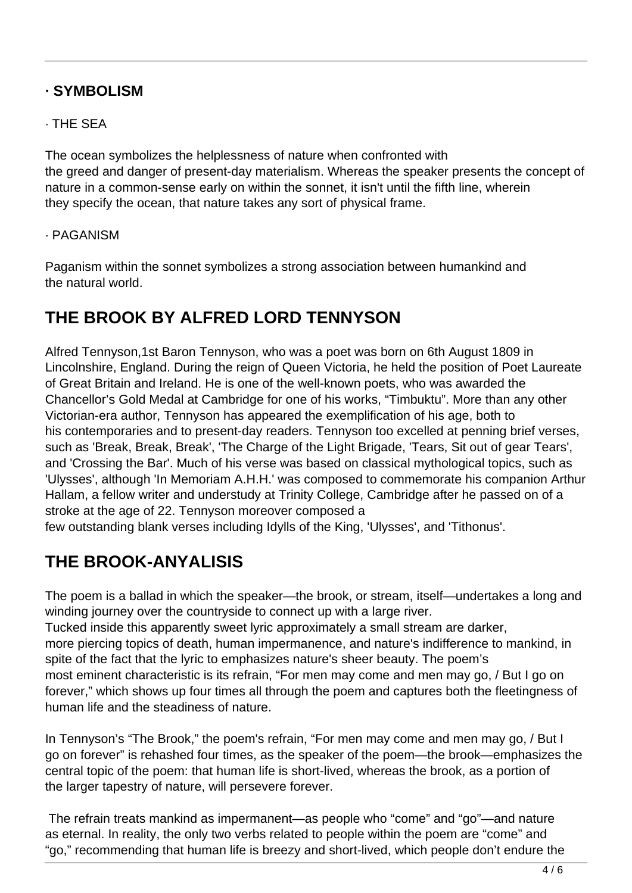### **· SYMBOLISM**

#### · THE SEA

The ocean symbolizes the helplessness of nature when confronted with the greed and danger of present-day materialism. Whereas the speaker presents the concept of nature in a common-sense early on within the sonnet, it isn't until the fifth line, wherein they specify the ocean, that nature takes any sort of physical frame.

#### · PAGANISM

Paganism within the sonnet symbolizes a strong association between humankind and the natural world.

# **THE BROOK BY ALFRED LORD TENNYSON**

Alfred Tennyson,1st Baron Tennyson, who was a poet was born on 6th August 1809 in Lincolnshire, England. During the reign of Queen Victoria, he held the position of Poet Laureate of Great Britain and Ireland. He is one of the well-known poets, who was awarded the Chancellor's Gold Medal at Cambridge for one of his works, "Timbuktu". More than any other Victorian-era author, Tennyson has appeared the exemplification of his age, both to his contemporaries and to present-day readers. Tennyson too excelled at penning brief verses, such as 'Break, Break, Break', 'The Charge of the Light Brigade, 'Tears, Sit out of gear Tears', and 'Crossing the Bar'. Much of his verse was based on classical mythological topics, such as 'Ulysses', although 'In Memoriam A.H.H.' was composed to commemorate his companion Arthur Hallam, a fellow writer and understudy at Trinity College, Cambridge after he passed on of a stroke at the age of 22. Tennyson moreover composed a

few outstanding blank verses including Idylls of the King, 'Ulysses', and 'Tithonus'.

# **THE BROOK-ANYALISIS**

The poem is a ballad in which the speaker—the brook, or stream, itself—undertakes a long and winding journey over the countryside to connect up with a large river. Tucked inside this apparently sweet lyric approximately a small stream are darker, more piercing topics of death, human impermanence, and nature's indifference to mankind, in spite of the fact that the lyric to emphasizes nature's sheer beauty. The poem's

most eminent characteristic is its refrain, "For men may come and men may go, / But I go on forever," which shows up four times all through the poem and captures both the fleetingness of human life and the steadiness of nature.

In Tennyson's "The Brook," the poem's refrain, "For men may come and men may go, / But I go on forever" is rehashed four times, as the speaker of the poem—the brook—emphasizes the central topic of the poem: that human life is short-lived, whereas the brook, as a portion of the larger tapestry of nature, will persevere forever.

 The refrain treats mankind as impermanent—as people who "come" and "go"—and nature as eternal. In reality, the only two verbs related to people within the poem are "come" and "go," recommending that human life is breezy and short-lived, which people don't endure the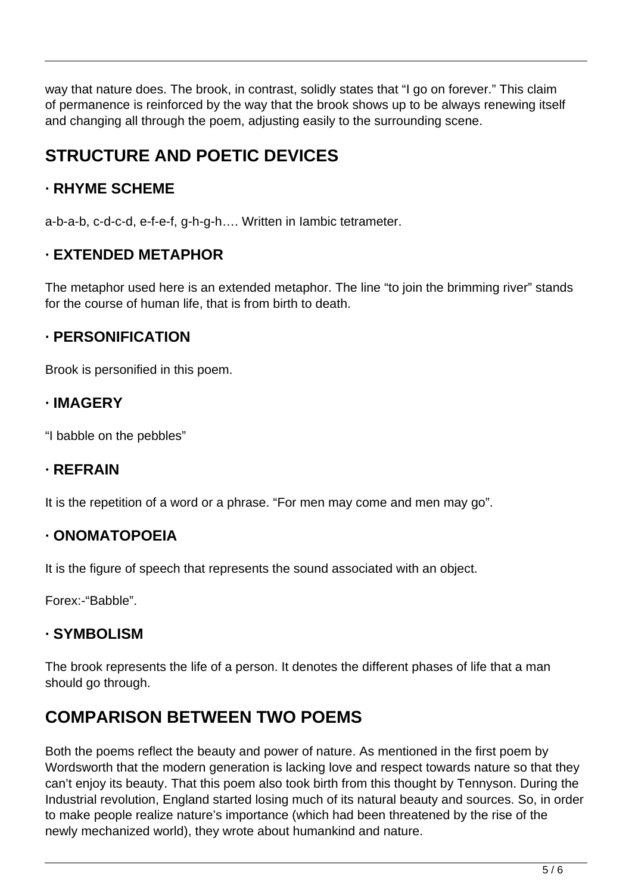way that nature does. The brook, in contrast, solidly states that "I go on forever." This claim of permanence is reinforced by the way that the brook shows up to be always renewing itself and changing all through the poem, adjusting easily to the surrounding scene.

# **STRUCTURE AND POETIC DEVICES**

## **· RHYME SCHEME**

a-b-a-b, c-d-c-d, e-f-e-f, g-h-g-h…. Written in Iambic tetrameter.

## **· EXTENDED METAPHOR**

The metaphor used here is an extended metaphor. The line "to join the brimming river" stands for the course of human life, that is from birth to death.

## **· PERSONIFICATION**

Brook is personified in this poem.

## **· IMAGERY**

"I babble on the pebbles"

## **· REFRAIN**

It is the repetition of a word or a phrase. "For men may come and men may go".

## **· ONOMATOPOEIA**

It is the figure of speech that represents the sound associated with an object.

Forex:-"Babble".

## **· SYMBOLISM**

The brook represents the life of a person. It denotes the different phases of life that a man should go through.

# **COMPARISON BETWEEN TWO POEMS**

Both the poems reflect the beauty and power of nature. As mentioned in the first poem by Wordsworth that the modern generation is lacking love and respect towards nature so that they can't enjoy its beauty. That this poem also took birth from this thought by Tennyson. During the Industrial revolution, England started losing much of its natural beauty and sources. So, in order to make people realize nature's importance (which had been threatened by the rise of the newly mechanized world), they wrote about humankind and nature.